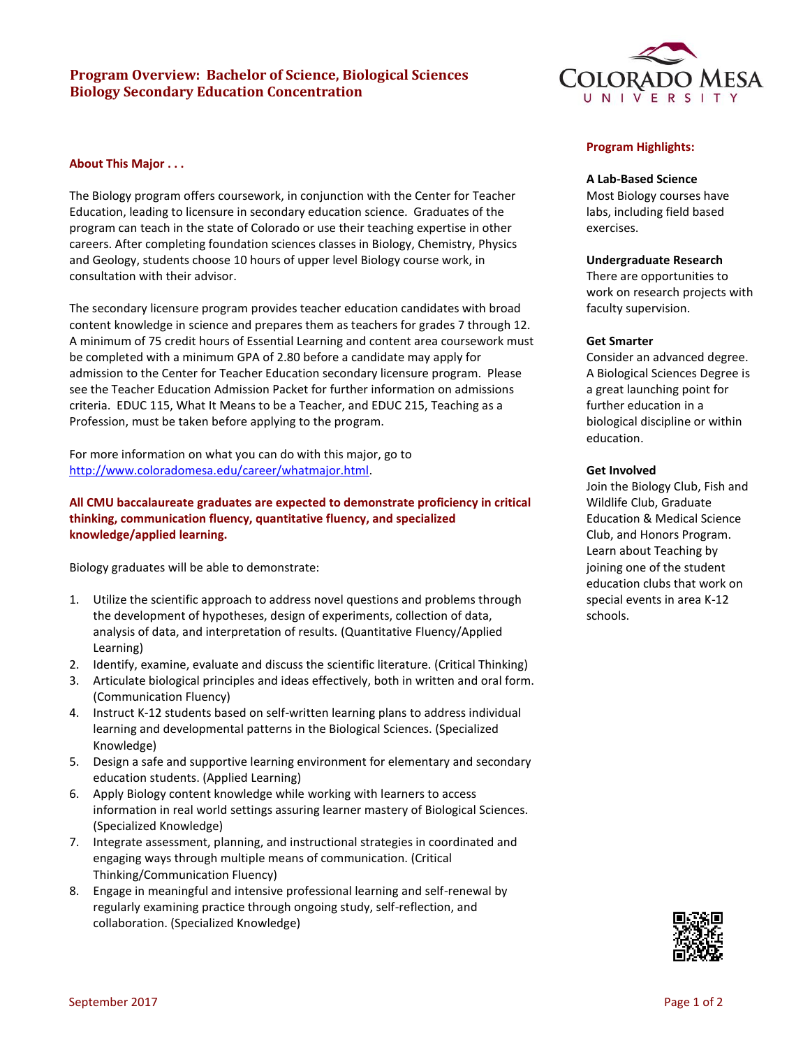# **Program Overview: Bachelor of Science, Biological Sciences Biology Secondary Education Concentration**

# **About This Major . . .**

The Biology program offers coursework, in conjunction with the Center for Teacher Education, leading to licensure in secondary education science. Graduates of the program can teach in the state of Colorado or use their teaching expertise in other careers. After completing foundation sciences classes in Biology, Chemistry, Physics and Geology, students choose 10 hours of upper level Biology course work, in consultation with their advisor.

The secondary licensure program provides teacher education candidates with broad content knowledge in science and prepares them as teachers for grades 7 through 12. A minimum of 75 credit hours of Essential Learning and content area coursework must be completed with a minimum GPA of 2.80 before a candidate may apply for admission to the Center for Teacher Education secondary licensure program. Please see the Teacher Education Admission Packet for further information on admissions criteria. EDUC 115, What It Means to be a Teacher, and EDUC 215, Teaching as a Profession, must be taken before applying to the program.

For more information on what you can do with this major, go to [http://www.coloradomesa.edu/career/whatmajor.html.](http://www.coloradomesa.edu/career/whatmajor.html)

# **All CMU baccalaureate graduates are expected to demonstrate proficiency in critical thinking, communication fluency, quantitative fluency, and specialized knowledge/applied learning.**

Biology graduates will be able to demonstrate:

- 1. Utilize the scientific approach to address novel questions and problems through the development of hypotheses, design of experiments, collection of data, analysis of data, and interpretation of results. (Quantitative Fluency/Applied Learning)
- 2. Identify, examine, evaluate and discuss the scientific literature. (Critical Thinking)
- 3. Articulate biological principles and ideas effectively, both in written and oral form. (Communication Fluency)
- 4. Instruct K-12 students based on self-written learning plans to address individual learning and developmental patterns in the Biological Sciences. (Specialized Knowledge)
- 5. Design a safe and supportive learning environment for elementary and secondary education students. (Applied Learning)
- 6. Apply Biology content knowledge while working with learners to access information in real world settings assuring learner mastery of Biological Sciences. (Specialized Knowledge)
- 7. Integrate assessment, planning, and instructional strategies in coordinated and engaging ways through multiple means of communication. (Critical Thinking/Communication Fluency)
- 8. Engage in meaningful and intensive professional learning and self-renewal by regularly examining practice through ongoing study, self-reflection, and collaboration. (Specialized Knowledge)



# **Program Highlights:**

# **A Lab-Based Science**

Most Biology courses have labs, including field based exercises.

# **Undergraduate Research**

There are opportunities to work on research projects with faculty supervision.

#### **Get Smarter**

Consider an advanced degree. A Biological Sciences Degree is a great launching point for further education in a biological discipline or within education.

# **Get Involved**

Join the Biology Club, Fish and Wildlife Club, Graduate Education & Medical Science Club, and Honors Program. Learn about Teaching by joining one of the student education clubs that work on special events in area K-12 schools.